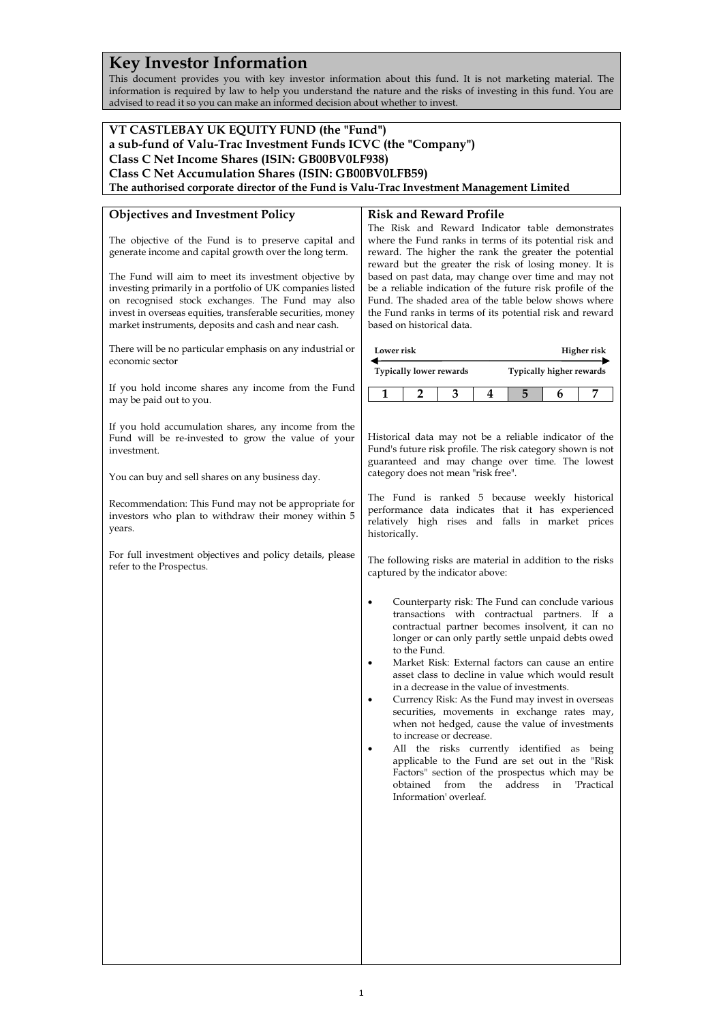# **Key Investor Information**

This document provides you with key investor information about this fund. It is not marketing material. The information is required by law to help you understand the nature and the risks of investing in this fund. You are advised to read it so you can make an informed decision about whether to invest.

#### **VT CASTLEBAY UK EQUITY FUND (the "Fund") a sub-fund of Valu-Trac Investment Funds ICVC (the "Company") Class C Net Income Shares (ISIN: GB00BV0LF938) Class C Net Accumulation Shares (ISIN: GB00BV0LFB59) The authorised corporate director of the Fund is Valu-Trac Investment Management Limited Objectives and Investment Policy** The objective of the Fund is to preserve capital and generate income and capital growth over the long term. The Fund will aim to meet its investment objective by investing primarily in a portfolio of UK companies listed on recognised stock exchanges. The Fund may also invest in overseas equities, transferable securities, money market instruments, deposits and cash and near cash. There will be no particular emphasis on any industrial or economic sector If you hold income shares any income from the Fund may be paid out to you. If you hold accumulation shares, any income from the Fund will be re-invested to grow the value of your investment. You can buy and sell shares on any business day. Recommendation: This Fund may not be appropriate for investors who plan to withdraw their money within 5 years. For full investment objectives and policy details, please refer to the Prospectus. **Risk and Reward Profile** The Risk and Reward Indicator table demonstrates where the Fund ranks in terms of its potential risk and reward. The higher the rank the greater the potential reward but the greater the risk of losing money. It is based on past data, may change over time and may not be a reliable indication of the future risk profile of the Fund. The shaded area of the table below shows where the Fund ranks in terms of its potential risk and reward based on historical data. **Lower risk Typically lower rewards Higher risk Typically higher rewards 1 2 3 4 5 6 7** Historical data may not be a reliable indicator of the Fund's future risk profile. The risk category shown is not guaranteed and may change over time. The lowest category does not mean "risk free". The Fund is ranked 5 because weekly historical performance data indicates that it has experienced relatively high rises and falls in market prices historically. The following risks are material in addition to the risks captured by the indicator above: • Counterparty risk: The Fund can conclude various transactions with contractual partners. If a contractual partner becomes insolvent, it can no longer or can only partly settle unpaid debts owed to the Fund. • Market Risk: External factors can cause an entire asset class to decline in value which would result in a decrease in the value of investments. • Currency Risk: As the Fund may invest in overseas securities, movements in exchange rates may, when not hedged, cause the value of investments to increase or decrease. All the risks currently identified as being applicable to the Fund are set out in the "Risk Factors" section of the prospectus which may be obtained from the address in 'Practical Information' overleaf.